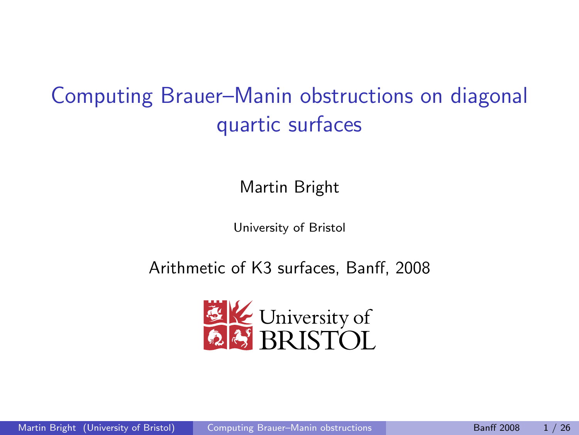# Computing Brauer–Manin obstructions on diagonal quartic surfaces

Martin Bright

<span id="page-0-0"></span>University of Bristol

Arithmetic of K3 surfaces, Banff, 2008

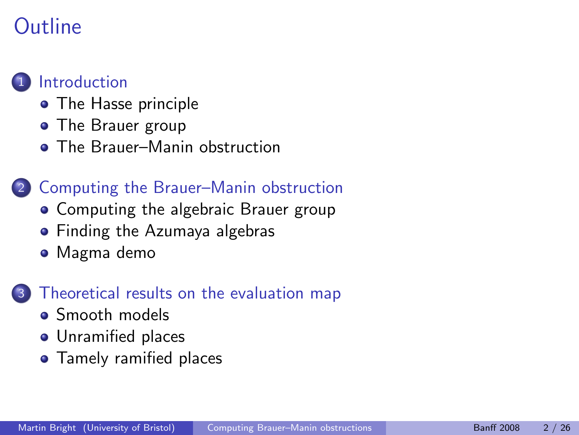# Outline



#### • [The Hasse principle](#page-3-0)

- [The Brauer group](#page-8-0)
- [The Brauer–Manin obstruction](#page-17-0)

### 2 [Computing the Brauer–Manin obstruction](#page-28-0)

- [Computing the algebraic Brauer group](#page-29-0)
- **•** [Finding the Azumaya algebras](#page-42-0)
- [Magma demo](#page-50-0)

#### [Theoretical results on the evaluation map](#page-51-0)

- [Smooth models](#page-54-0)
- **•** [Unramified places](#page-60-0)
- **•** [Tamely ramified places](#page-64-0)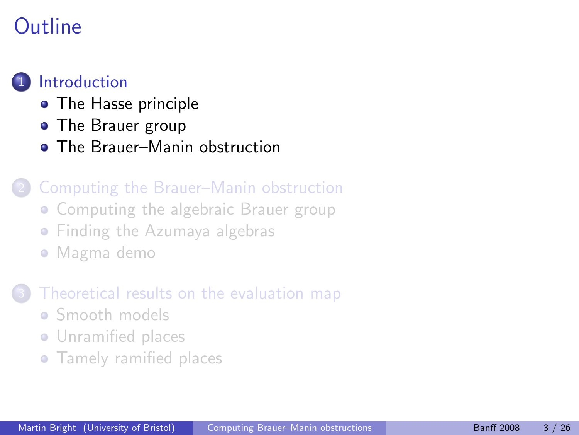# Outline

### **[Introduction](#page-2-0)**

- [The Hasse principle](#page-3-0)
- [The Brauer group](#page-8-0)
- **[The Brauer–Manin obstruction](#page-17-0)**

### 2 [Computing the Brauer–Manin obstruction](#page-28-0)

- [Computing the algebraic Brauer group](#page-29-0)
- **[Finding the Azumaya algebras](#page-42-0)**
- [Magma demo](#page-50-0)

### [Theoretical results on the evaluation map](#page-51-0)

- [Smooth models](#page-54-0)
- **•** [Unramified places](#page-60-0)
- <span id="page-2-0"></span>**•** [Tamely ramified places](#page-64-0)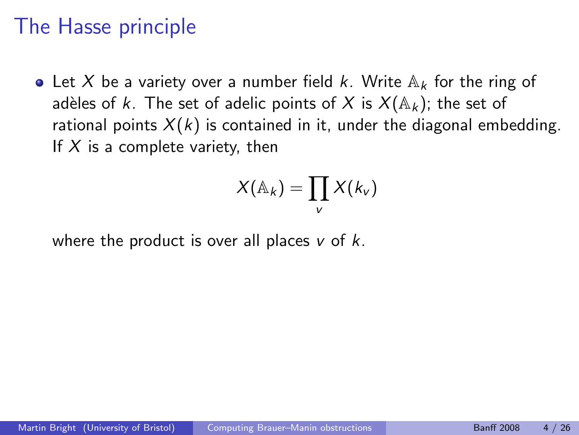## The Hasse principle

• Let X be a variety over a number field k. Write  $\mathbb{A}_k$  for the ring of adèles of k. The set of adelic points of X is  $X(\mathbb{A}_k)$ ; the set of rational points  $X(k)$  is contained in it, under the diagonal embedding. If  $X$  is a complete variety, then

<span id="page-3-0"></span>
$$
X(\mathbb{A}_k)=\prod_v X(k_v)
$$

where the product is over all places  $v$  of  $k$ .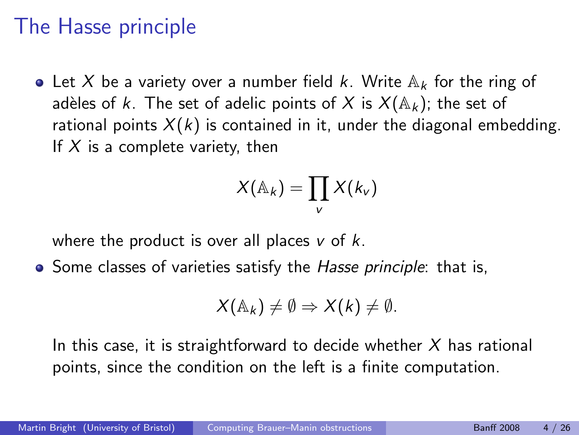# The Hasse principle

• Let X be a variety over a number field k. Write  $\mathbb{A}_k$  for the ring of adèles of k. The set of adelic points of X is  $X(\mathbb{A}_k)$ ; the set of rational points  $X(k)$  is contained in it, under the diagonal embedding. If  $X$  is a complete variety, then

$$
X(\mathbb{A}_k)=\prod_v X(k_v)
$$

where the product is over all places  $v$  of  $k$ .

• Some classes of varieties satisfy the Hasse principle: that is,

$$
X(\mathbb{A}_k) \neq \emptyset \Rightarrow X(k) \neq \emptyset.
$$

In this case, it is straightforward to decide whether  $X$  has rational points, since the condition on the left is a finite computation.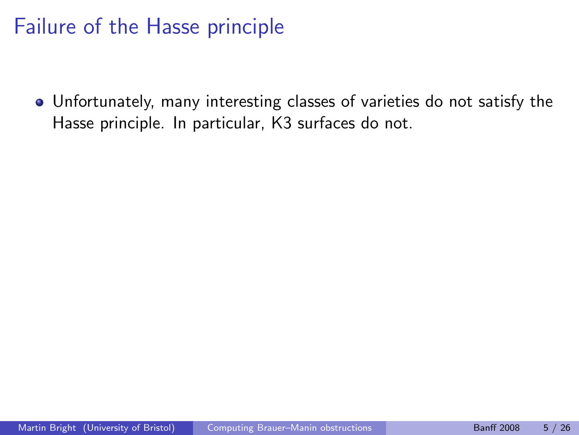# Failure of the Hasse principle

Unfortunately, many interesting classes of varieties do not satisfy the Hasse principle. In particular, K3 surfaces do not.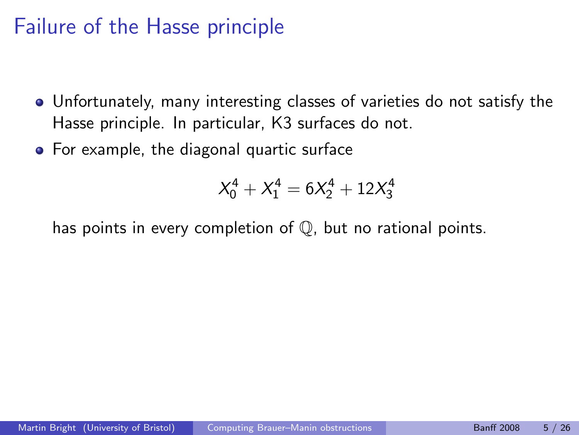# Failure of the Hasse principle

- Unfortunately, many interesting classes of varieties do not satisfy the Hasse principle. In particular, K3 surfaces do not.
- For example, the diagonal quartic surface

$$
X_0^4 + X_1^4 = 6X_2^4 + 12X_3^4
$$

has points in every completion of Q, but no rational points.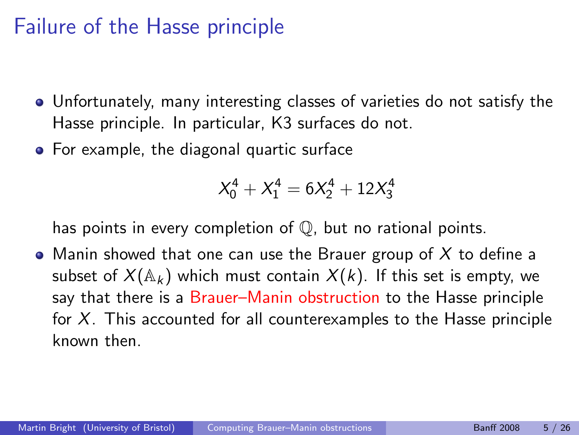# Failure of the Hasse principle

- Unfortunately, many interesting classes of varieties do not satisfy the Hasse principle. In particular, K3 surfaces do not.
- For example, the diagonal quartic surface

$$
X_0^4 + X_1^4 = 6X_2^4 + 12X_3^4
$$

has points in every completion of Q, but no rational points.

• Manin showed that one can use the Brauer group of  $X$  to define a subset of  $X(\mathbb{A}_k)$  which must contain  $X(k)$ . If this set is empty, we say that there is a Brauer–Manin obstruction to the Hasse principle for  $X$ . This accounted for all counterexamples to the Hasse principle known then.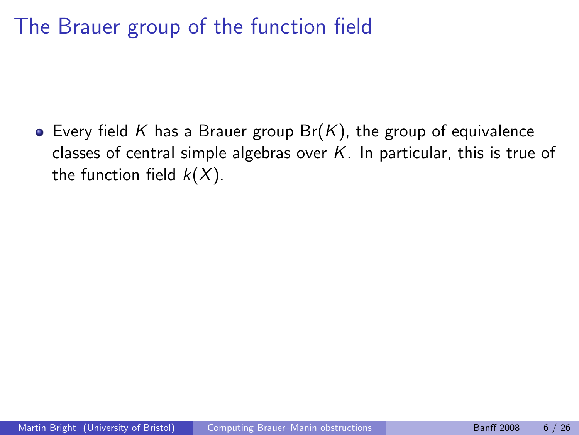The Brauer group of the function field

<span id="page-8-0"></span>• Every field K has a Brauer group  $Br(K)$ , the group of equivalence classes of central simple algebras over  $K$ . In particular, this is true of the function field  $k(X)$ .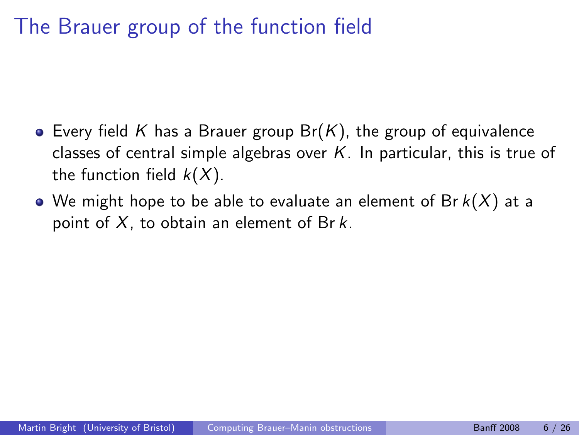# The Brauer group of the function field

- Every field K has a Brauer group  $Br(K)$ , the group of equivalence classes of central simple algebras over  $K$ . In particular, this is true of the function field  $k(X)$ .
- We might hope to be able to evaluate an element of Br  $k(X)$  at a point of  $X$ , to obtain an element of Br  $k$ .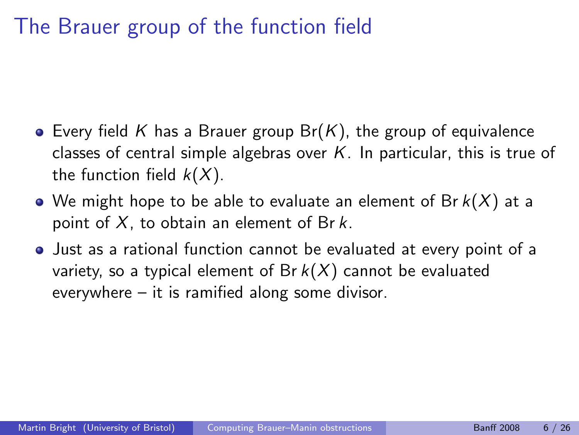# The Brauer group of the function field

- Every field K has a Brauer group  $Br(K)$ , the group of equivalence classes of central simple algebras over  $K$ . In particular, this is true of the function field  $k(X)$ .
- We might hope to be able to evaluate an element of Br  $k(X)$  at a point of  $X$ , to obtain an element of Br  $k$ .
- Just as a rational function cannot be evaluated at every point of a variety, so a typical element of Br  $k(X)$  cannot be evaluated everywhere – it is ramified along some divisor.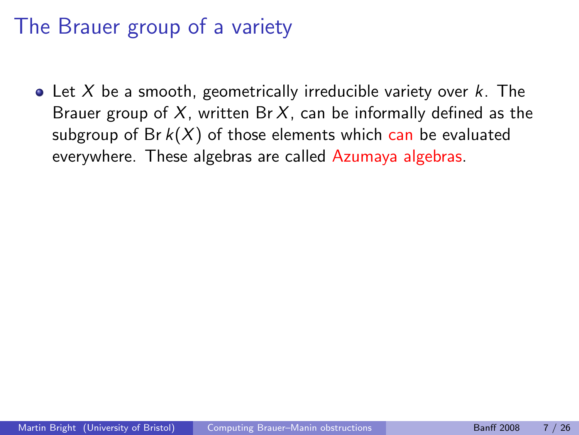• Let X be a smooth, geometrically irreducible variety over  $k$ . The Brauer group of  $X$ , written Br  $X$ , can be informally defined as the subgroup of Br  $k(X)$  of those elements which can be evaluated everywhere. These algebras are called Azumaya algebras.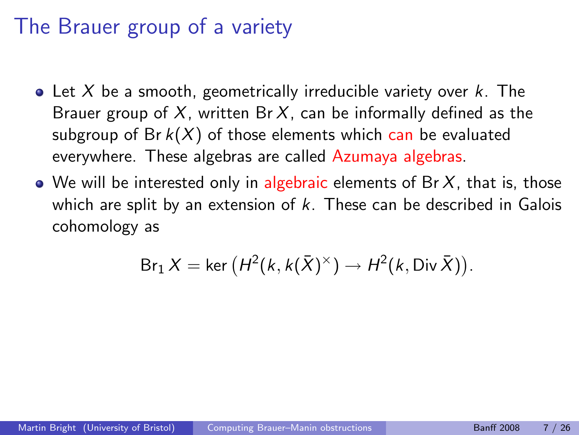- Let X be a smooth, geometrically irreducible variety over  $k$ . The Brauer group of X, written Br X, can be informally defined as the subgroup of Br  $k(X)$  of those elements which can be evaluated everywhere. These algebras are called Azumaya algebras.
- $\bullet$  We will be interested only in algebraic elements of Br  $X$ , that is, those which are split by an extension of  $k$ . These can be described in Galois cohomology as

$$
\text{Br}_1 X = \ker \left( H^2(k, k(\bar{X})^{\times}) \to H^2(k, \text{Div }\bar{X}) \right).
$$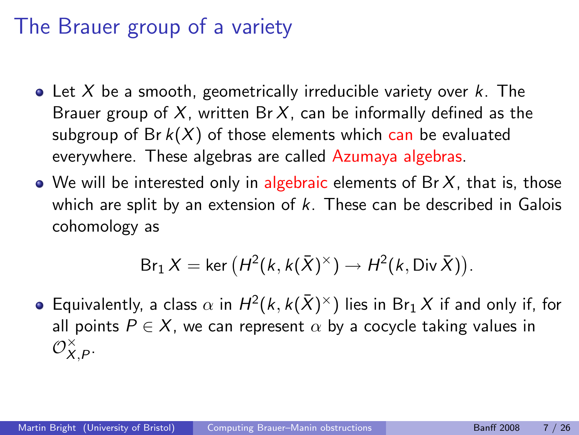- Let X be a smooth, geometrically irreducible variety over  $k$ . The Brauer group of  $X$ , written Br  $X$ , can be informally defined as the subgroup of Br  $k(X)$  of those elements which can be evaluated everywhere. These algebras are called Azumaya algebras.
- $\bullet$  We will be interested only in algebraic elements of Br  $X$ , that is, those which are split by an extension of  $k$ . These can be described in Galois cohomology as

$$
\text{Br}_1 X = \ker \left( H^2(k, k(\bar{X})^{\times}) \to H^2(k, \text{Div }\bar{X}) \right).
$$

Equivalently, a class  $\alpha$  in  $H^2(k,k(\bar{X})^{\times})$  lies in  $\texttt{Br}_1X$  if and only if, for all points  $P \in X$ , we can represent  $\alpha$  by a cocycle taking values in  $\mathcal{O}_X^{\times}$  $\overset{\times}{X}, P$  .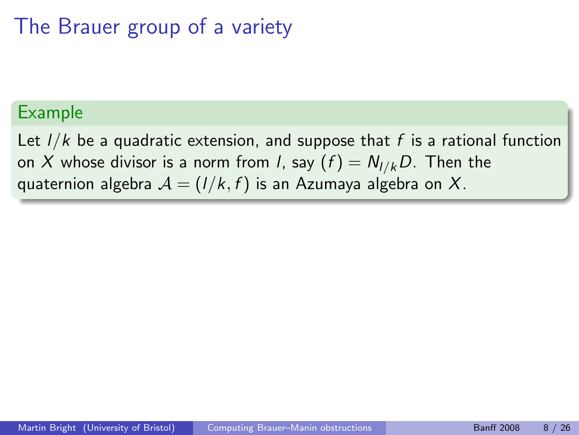#### Example

Let  $1/k$  be a quadratic extension, and suppose that f is a rational function on X whose divisor is a norm from *l*, say  $(f) = N_{I/k}D$ . Then the quaternion algebra  $A = (1/k, f)$  is an Azumaya algebra on X.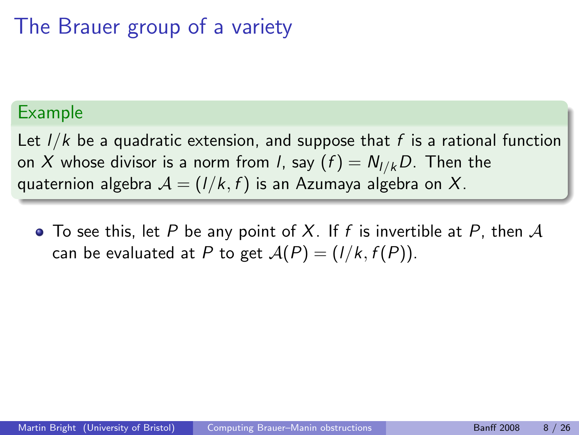#### Example

Let  $1/k$  be a quadratic extension, and suppose that f is a rational function on X whose divisor is a norm from *l*, say  $(f) = N_{I/k}D$ . Then the quaternion algebra  $A = (1/k, f)$  is an Azumaya algebra on X.

 $\bullet$  To see this, let P be any point of X. If f is invertible at P, then A can be evaluated at P to get  $A(P) = (1/k, f(P))$ .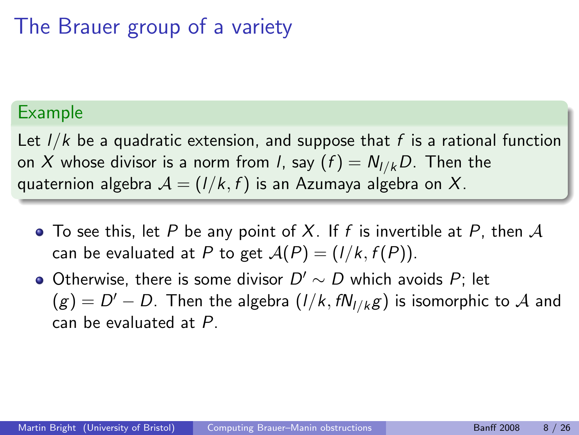#### Example

Let  $1/k$  be a quadratic extension, and suppose that f is a rational function on X whose divisor is a norm from *l*, say  $(f) = N_{I/k}D$ . Then the quaternion algebra  $A = (1/k, f)$  is an Azumaya algebra on X.

- $\bullet$  To see this, let P be any point of X. If f is invertible at P, then A can be evaluated at P to get  $A(P) = (1/k, f(P))$ .
- Otherwise, there is some divisor  $D' \sim D$  which avoids  $P$ ; let  $\Gamma(g)=D'-D.$  Then the algebra  $(I/k, fN_{I/k}g)$  is isomorphic to  ${\mathcal A}$  and can be evaluated at P.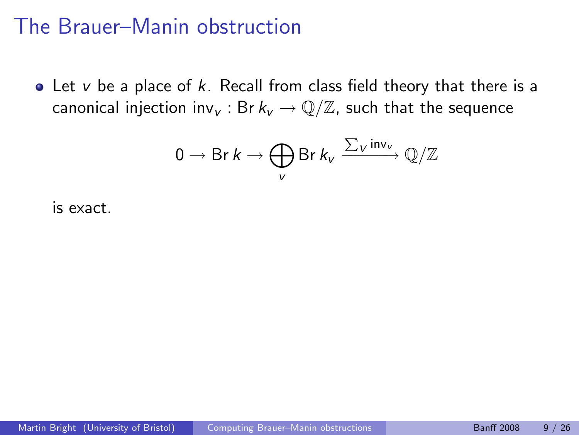$\bullet$  Let v be a place of k. Recall from class field theory that there is a canonical injection inv<sub>v</sub>: Br  $k_v \to \mathbb{Q}/\mathbb{Z}$ , such that the sequence

<span id="page-17-0"></span>
$$
0 \to \text{Br } k \to \bigoplus_{V} \text{Br } k_{V} \xrightarrow{\sum_{V} \text{inv}_{V}} \mathbb{Q}/\mathbb{Z}
$$

is exact.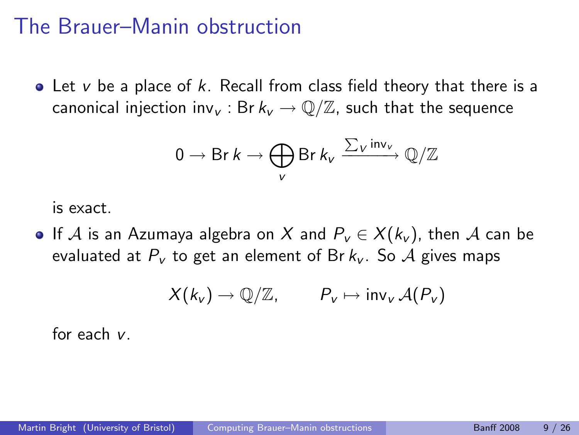$\bullet$  Let v be a place of k. Recall from class field theory that there is a canonical injection inv<sub>v</sub>: Br  $k_v \to \mathbb{Q}/\mathbb{Z}$ , such that the sequence

$$
0 \to \text{Br } k \to \bigoplus_{v} \text{Br } k_{v} \xrightarrow{\sum_{v} \text{inv}_{v}} \mathbb{Q}/\mathbb{Z}
$$

is exact.

• If A is an Azumaya algebra on X and  $P_v$  ∈  $X(k_v)$ , then A can be evaluated at  $P_v$  to get an element of Br  $k_v$ . So A gives maps

$$
X(k_v) \to \mathbb{Q}/\mathbb{Z}, \qquad P_v \mapsto \text{inv}_v \,\mathcal{A}(P_v)
$$

for each v.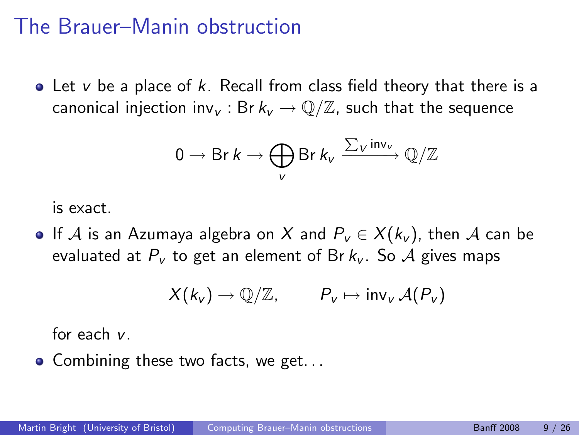$\bullet$  Let v be a place of k. Recall from class field theory that there is a canonical injection inv<sub>v</sub>: Br  $k_v \to \mathbb{Q}/\mathbb{Z}$ , such that the sequence

$$
0 \to \text{Br } k \to \bigoplus_{v} \text{Br } k_{v} \xrightarrow{\sum_{v} \text{inv}_{v}} \mathbb{Q}/\mathbb{Z}
$$

is exact.

• If A is an Azumaya algebra on X and  $P_v$  ∈  $X(k_v)$ , then A can be evaluated at  $P_v$  to get an element of Br  $k_v$ . So A gives maps

$$
X(k_v) \to \mathbb{Q}/\mathbb{Z}, \qquad P_v \mapsto \text{inv}_v \mathcal{A}(P_v)
$$

for each v.

• Combining these two facts, we get...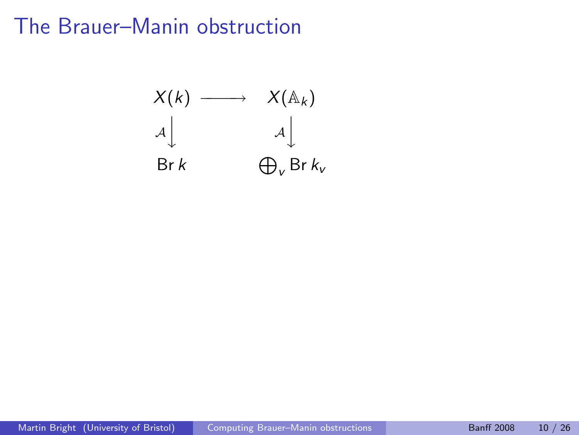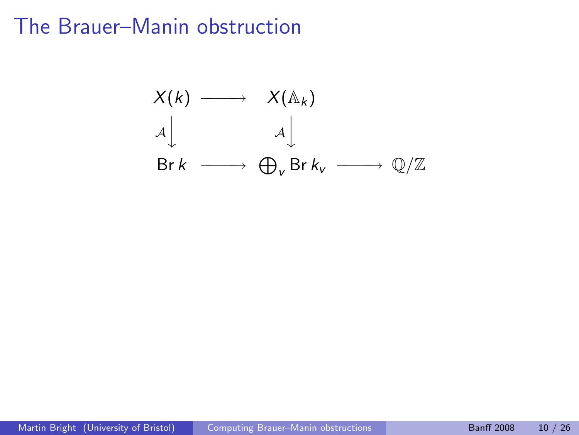$$
X(k) \longrightarrow X(\mathbb{A}_{k})
$$
  
\n
$$
A \downarrow A \downarrow
$$
  
\n
$$
\text{Br } k \longrightarrow \bigoplus_{v} \text{Br } k_{v} \longrightarrow \mathbb{Q}/\mathbb{Z}
$$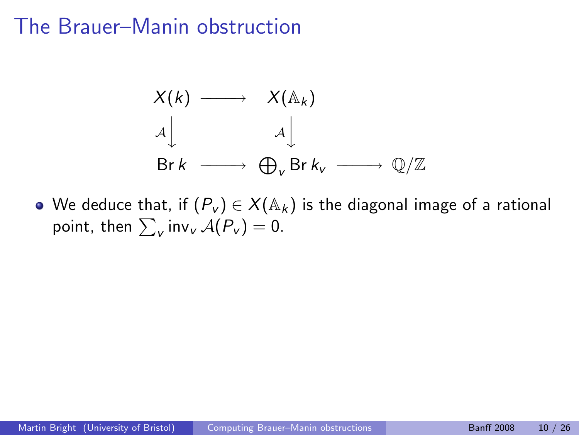$$
X(k) \longrightarrow X(\mathbb{A}_{k})
$$
  
\n
$$
A \downarrow A \downarrow
$$
  
\n
$$
\text{Br } k \longrightarrow \bigoplus_{v} \text{Br } k_{v} \longrightarrow \mathbb{Q}/\mathbb{Z}
$$

• We deduce that, if  $(P_v) \in X(\mathbb{A}_k)$  is the diagonal image of a rational point, then  $\sum_{v}$  inv $_{v}$   $\mathcal{A}(P_{v}) = 0$ .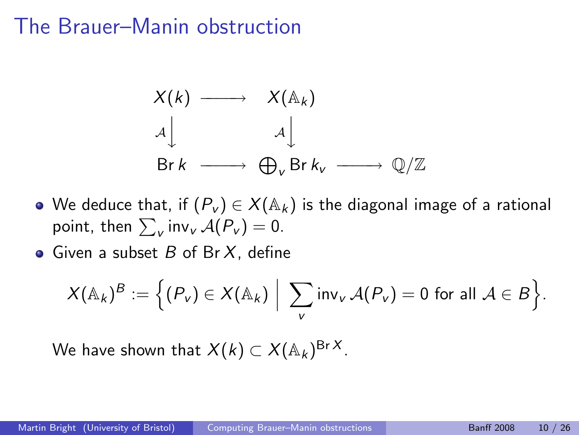$$
X(k) \longrightarrow X(\mathbb{A}_{k})
$$
  
\n
$$
A \downarrow A \downarrow
$$
  
\n
$$
\text{Br } k \longrightarrow \bigoplus_{v} \text{Br } k_{v} \longrightarrow \mathbb{Q}/\mathbb{Z}
$$

- We deduce that, if  $(P_v) \in X(\mathbb{A}_k)$  is the diagonal image of a rational point, then  $\sum_{v}$  inv $_{v}$   $\mathcal{A}(P_{v}) = 0$ .
- Given a subset  $B$  of Br  $X$ , define

$$
X(\mathbb{A}_k)^B := \Big\{ (P_v) \in X(\mathbb{A}_k) \Big| \sum_{v} \mathsf{inv}_v \, \mathcal{A}(P_v) = 0 \text{ for all } \mathcal{A} \in B \Big\}.
$$

We have shown that  $X(k) \subset X({\mathbb A}_k)^{\mathrm{Br}\,X}.$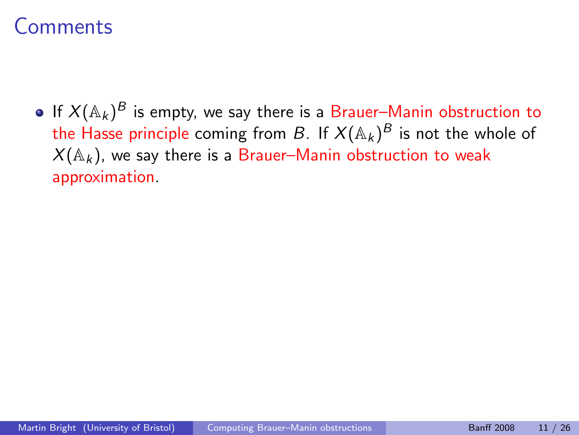If  $X({\mathbb A}_k)^{\cal B}$  is empty, we say there is a Brauer–Manin obstruction to the Hasse principle coming from  $B.$  If  $X(\mathbb{A}_k)^B$  is not the whole of  $X(\mathbb{A}_k)$ , we say there is a Brauer–Manin obstruction to weak approximation.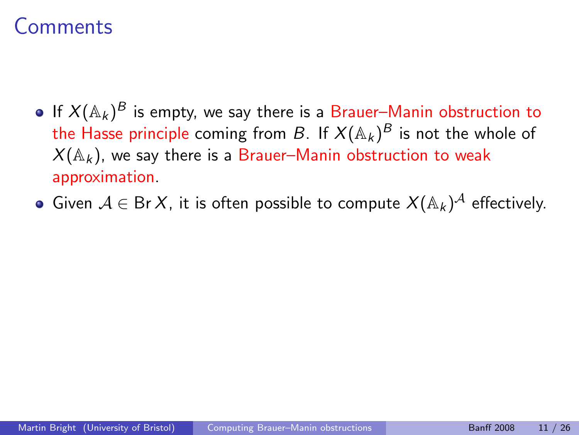- If  $X({\mathbb A}_k)^{\cal B}$  is empty, we say there is a Brauer–Manin obstruction to the Hasse principle coming from  $B.$  If  $X(\mathbb{A}_k)^B$  is not the whole of  $X(\mathbb{A}_k)$ , we say there is a Brauer–Manin obstruction to weak approximation.
- Given  $\mathcal{A}\in \operatorname{\mathsf{Br}}\nolimits X$ , it is often possible to compute  $X(\mathbb{A}_k)^{\mathcal{A}}$  effectively.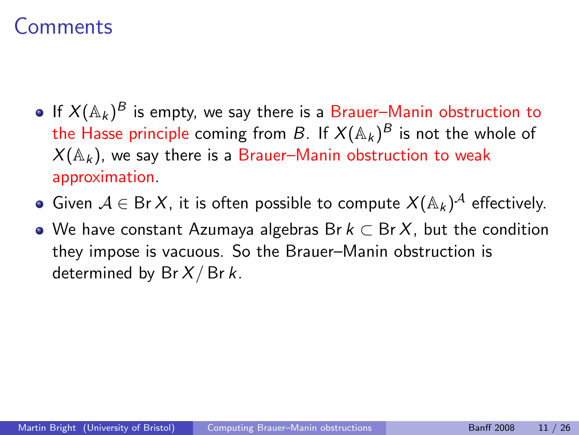- If  $X({\mathbb A}_k)^{\cal B}$  is empty, we say there is a Brauer–Manin obstruction to the Hasse principle coming from  $B.$  If  $X(\mathbb{A}_k)^B$  is not the whole of  $X(\mathbb{A}_k)$ , we say there is a Brauer–Manin obstruction to weak approximation.
- Given  $\mathcal{A}\in \operatorname{\mathsf{Br}}\nolimits X$ , it is often possible to compute  $X(\mathbb{A}_k)^{\mathcal{A}}$  effectively.
- $\bullet$  We have constant Azumaya algebras Br  $k \subset BrX$ , but the condition they impose is vacuous. So the Brauer–Manin obstruction is determined by  $Br X/Br k$ .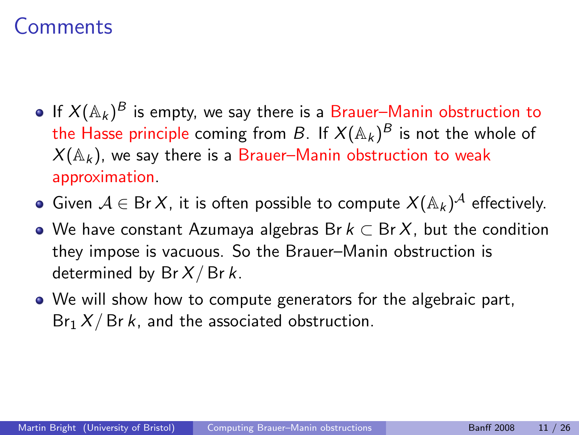- If  $X({\mathbb A}_k)^{\cal B}$  is empty, we say there is a Brauer–Manin obstruction to the Hasse principle coming from  $B.$  If  $X(\mathbb{A}_k)^B$  is not the whole of  $X(\mathbb{A}_k)$ , we say there is a Brauer–Manin obstruction to weak approximation.
- Given  $\mathcal{A}\in \operatorname{\mathsf{Br}}\nolimits X$ , it is often possible to compute  $X(\mathbb{A}_k)^{\mathcal{A}}$  effectively.
- $\bullet$  We have constant Azumaya algebras Br  $k \subset BrX$ , but the condition they impose is vacuous. So the Brauer–Manin obstruction is determined by  $Br X/Br k$ .
- We will show how to compute generators for the algebraic part,  $Br_1 X/Br k$ , and the associated obstruction.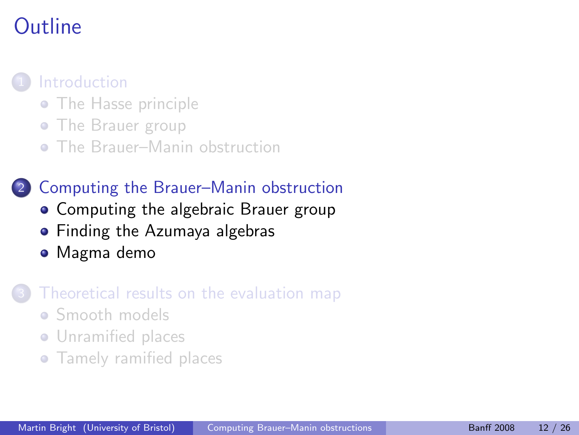# Outline



- [The Hasse principle](#page-3-0)
- [The Brauer group](#page-8-0)
- [The Brauer–Manin obstruction](#page-17-0)

### 2 [Computing the Brauer–Manin obstruction](#page-28-0)

- [Computing the algebraic Brauer group](#page-29-0)
- **•** [Finding the Azumaya algebras](#page-42-0)
- [Magma demo](#page-50-0)

#### [Theoretical results on the evaluation map](#page-51-0)

- [Smooth models](#page-54-0)
- **•** [Unramified places](#page-60-0)
- <span id="page-28-0"></span>**•** [Tamely ramified places](#page-64-0)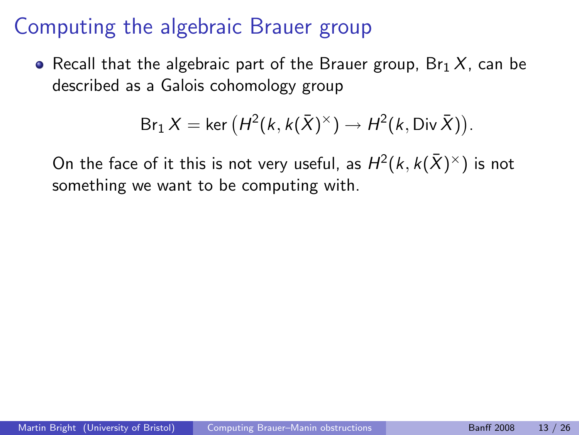• Recall that the algebraic part of the Brauer group,  $Br_1 X$ , can be described as a Galois cohomology group

<span id="page-29-0"></span>
$$
Br_1 X = \ker (H^2(k, k(\bar{X})^{\times}) \to H^2(k, \text{Div }\bar{X})).
$$

On the face of it this is not very useful, as  $H^2(k,k(\bar{X})^{\times})$  is not something we want to be computing with.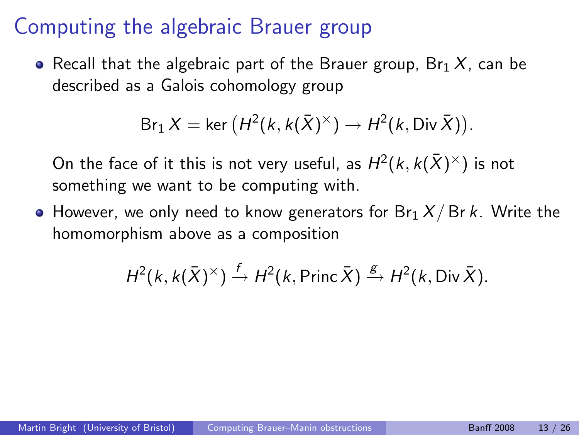• Recall that the algebraic part of the Brauer group,  $Br_1 X$ , can be described as a Galois cohomology group

$$
\mathsf{Br}_1 X = \mathsf{ker} \left( H^2(k, k(\bar X)^\times) \to H^2(k, \operatorname{Div} \bar X) \right).
$$

On the face of it this is not very useful, as  $H^2(k,k(\bar{X})^{\times})$  is not something we want to be computing with.

 $\bullet$  However, we only need to know generators for Br<sub>1</sub> X/Br k. Write the homomorphism above as a composition

$$
H^2(k, k(\bar{X})^{\times}) \xrightarrow{f} H^2(k, \text{Princ } \bar{X}) \xrightarrow{g} H^2(k, \text{Div } \bar{X}).
$$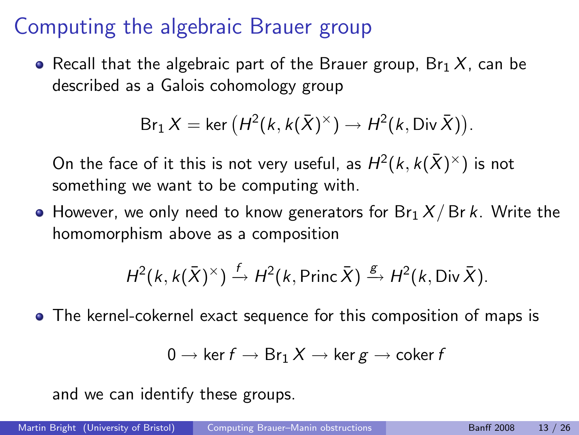• Recall that the algebraic part of the Brauer group,  $Br_1 X$ , can be described as a Galois cohomology group

$$
\text{Br}_1 X = \ker \left( H^2(k, k(\bar{X})^{\times}) \to H^2(k, \text{Div }\bar{X}) \right).
$$

On the face of it this is not very useful, as  $H^2(k,k(\bar{X})^{\times})$  is not something we want to be computing with.

 $\bullet$  However, we only need to know generators for Br<sub>1</sub> X/Br k. Write the homomorphism above as a composition

$$
H^2(k, k(\bar{X})^{\times}) \xrightarrow{f} H^2(k, \text{Princ } \bar{X}) \xrightarrow{g} H^2(k, \text{Div } \bar{X}).
$$

The kernel-cokernel exact sequence for this composition of maps is

$$
0\to \ker f \to \text{Br}_1\, X \to \ker g \to \text{coker}\, f
$$

and we can identify these groups.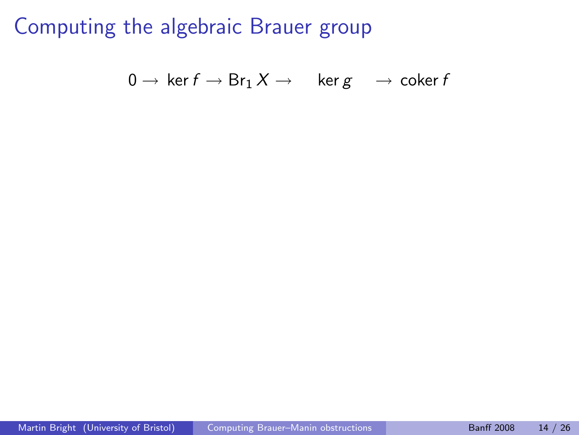$$
0\to \ker f\to \textup{Br}_1\, X\to \quad \ker g\quad\to \operatorname{coker} f
$$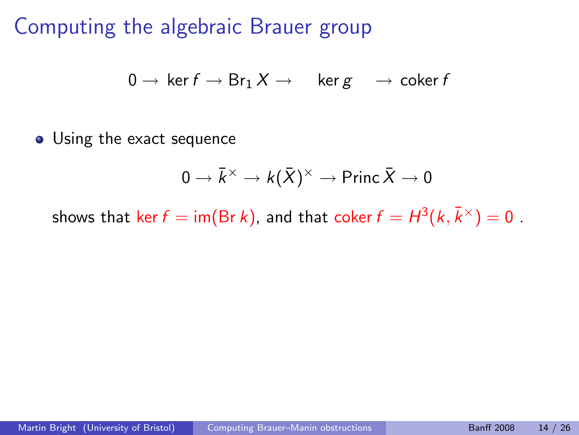$$
0\to \ker f\to \textup{Br}_1\, X\to \quad \ker g\quad\to \operatorname{coker} f
$$

• Using the exact sequence

$$
0 \to \bar{k}^{\times} \to k(\bar{X})^{\times} \to \text{Princ } \bar{X} \to 0
$$

shows that  $\mathop{\sf ker} f = \mathop{\sf im} (\mathop{\sf Br} k)$ , and that  $\mathop{\sf coker} f = H^3(k, \bar k^\times) = 0$  .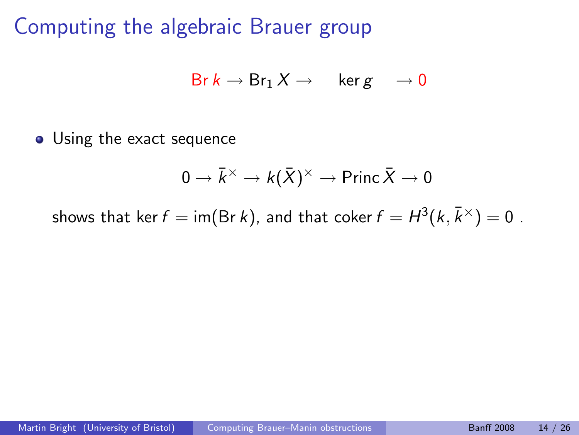$$
\mathsf{Br}\, k \to \mathsf{Br}_1 \, X \to \quad \ker g \quad \to 0
$$

• Using the exact sequence

$$
0 \to \bar k^\times \to k(\bar X)^\times \to \mathsf{Princ}\, \bar X \to 0
$$

shows that ker  $f=$  im(Br  $k$ ), and that coker  $f=H^3(k,\bar k^\times)=0$  .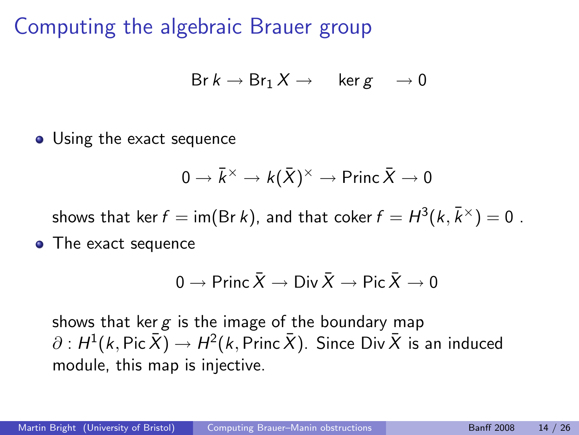$$
\mathsf{Br}\, k \to \mathsf{Br}_1 \, X \to \quad \ker g \quad \to 0
$$

• Using the exact sequence

$$
0 \to \bar{k}^\times \to k(\bar{X})^\times \to \mathsf{Princ}\, \bar{X} \to 0
$$

shows that ker  $f=$  im(Br  $k$ ), and that coker  $f=H^3(k,\bar k^\times)=0$  .

• The exact sequence

$$
0 \to \text{Princ } \bar{X} \to \text{Div } \bar{X} \to \text{Pic } \bar{X} \to 0
$$

shows that ker  $g$  is the image of the boundary map  $\partial : H^1(k,\mathsf{Pic}\,\bar{X}) \to H^2(k,\mathsf{Princ}\,\bar{X}).$  Since Div  $\bar{X}$  is an induced module, this map is injective.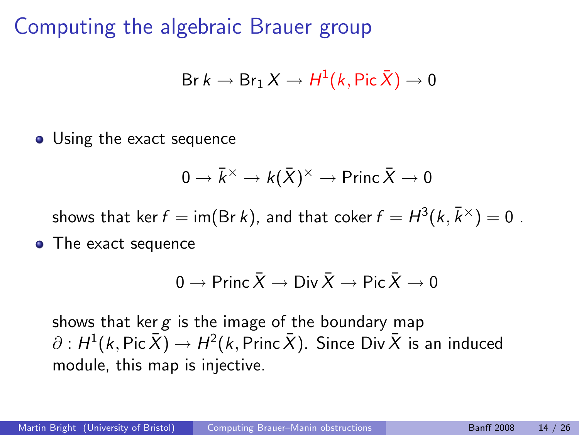$$
\text{Br}\, k \to \text{Br}_1\, X \to H^1(k, \text{Pic}\,\bar{X}) \to 0
$$

• Using the exact sequence

$$
0 \to \bar{k}^\times \to k(\bar{X})^\times \to \text{Princ } \bar{X} \to 0
$$

shows that ker  $f=$  im(Br  $k$ ), and that coker  $f=H^3(k,\bar k^\times)=0$  .

• The exact sequence

$$
0 \to \text{Princ } \bar{X} \to \text{Div } \bar{X} \to \text{Pic } \bar{X} \to 0
$$

shows that ker  $g$  is the image of the boundary map  $\partial : H^1(k,\mathsf{Pic}\,\bar{X}) \to H^2(k,\mathsf{Princ}\,\bar{X}).$  Since Div  $\bar{X}$  is an induced module, this map is injective.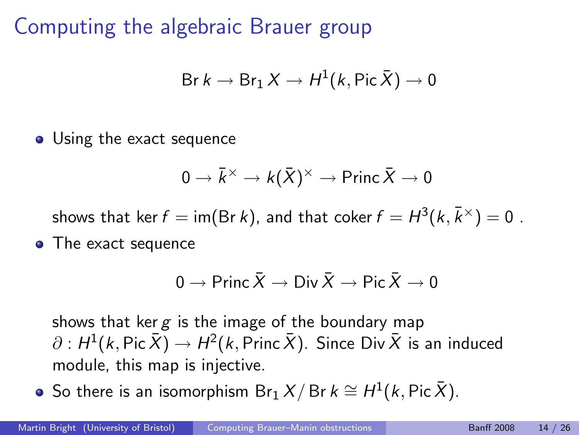$$
\text{Br}\, k \to \text{Br}_1\, X \to H^1(k, \text{Pic}\,\bar{X}) \to 0
$$

• Using the exact sequence

$$
0 \to \bar{k}^\times \to k(\bar{X})^\times \to \mathsf{Princ}\, \bar{X} \to 0
$$

shows that ker  $f=$  im(Br  $k$ ), and that coker  $f=H^3(k,\bar k^\times)=0$  .

• The exact sequence

$$
0 \to \text{Princ } \bar{X} \to \text{Div } \bar{X} \to \text{Pic } \bar{X} \to 0
$$

shows that ker  $g$  is the image of the boundary map  $\partial : H^1(k,\mathsf{Pic}\,\bar{X}) \to H^2(k,\mathsf{Princ}\,\bar{X}).$  Since Div  $\bar{X}$  is an induced module, this map is injective.

So there is an isomorphism  $\mathsf{Br}_1\,X/\,\mathsf{Br}\,k \cong H^1(k,\mathsf{Pic}\,\bar{X}).$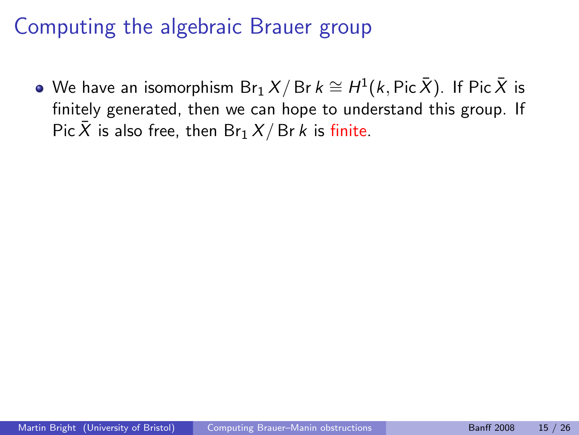We have an isomorphism  ${\sf Br}_1\,X/\,{\sf Br}\,k \cong H^1(k,{\sf Pic}\,\bar{X}).$  If Pic $\,\bar{X}\,$  is finitely generated, then we can hope to understand this group. If Pic X is also free, then  $Br_1 X/Br k$  is finite.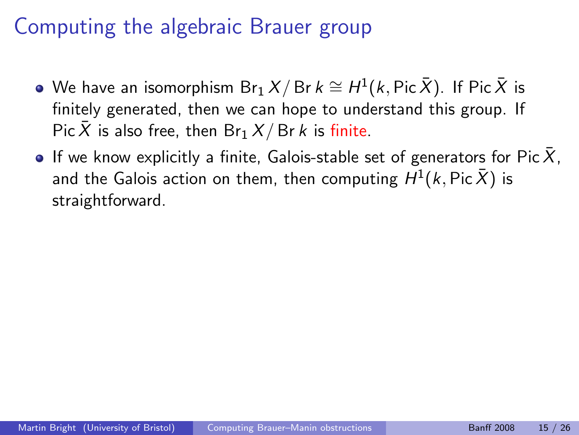- We have an isomorphism  ${\sf Br}_1\,X/\,{\sf Br}\,k \cong H^1(k,{\sf Pic}\,\bar{X}).$  If Pic $\,\bar{X}\,$  is finitely generated, then we can hope to understand this group. If Pic X is also free, then  $Br_1 X/Br k$  is finite.
- If we know explicitly a finite, Galois-stable set of generators for  $Pic X$ , and the Galois action on them, then computing  $H^1(k,\mathsf{Pic}\,\bar{X})$  is straightforward.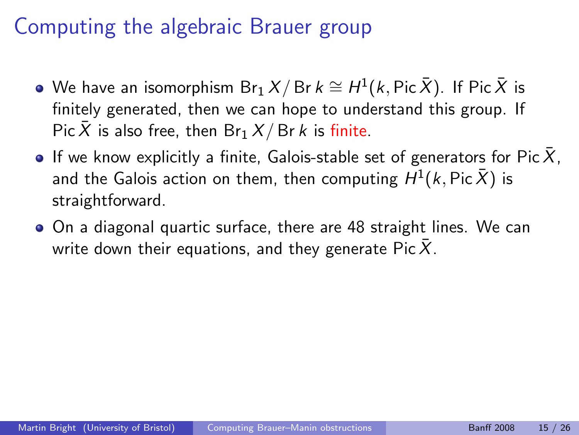- We have an isomorphism  ${\sf Br}_1\,X/\,{\sf Br}\,k \cong H^1(k,{\sf Pic}\,\bar{X}).$  If Pic $\,\bar{X}\,$  is finitely generated, then we can hope to understand this group. If Pic  $\bar{X}$  is also free, then Br<sub>1</sub>  $X/Br k$  is finite.
- If we know explicitly a finite, Galois-stable set of generators for  $Pic X$ , and the Galois action on them, then computing  $H^1(k,\mathsf{Pic}\,\bar{X})$  is straightforward.
- On a diagonal quartic surface, there are 48 straight lines. We can write down their equations, and they generate Pic  $\bar{X}$ .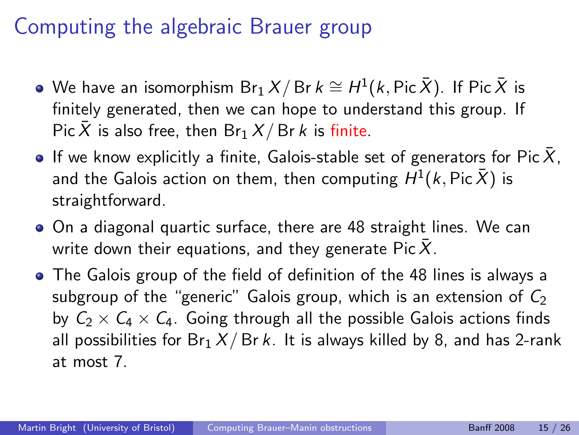- We have an isomorphism  ${\sf Br}_1\,X/\,{\sf Br}\,k \cong H^1(k,{\sf Pic}\,\bar{X}).$  If Pic $\,\bar{X}\,$  is finitely generated, then we can hope to understand this group. If Pic X is also free, then  $Br_1 X/Br k$  is finite.
- If we know explicitly a finite, Galois-stable set of generators for Pic  $X$ , and the Galois action on them, then computing  $H^1(k,\mathsf{Pic}\,\bar{X})$  is straightforward.
- On a diagonal quartic surface, there are 48 straight lines. We can write down their equations, and they generate Pic  $\bar{X}$ .
- The Galois group of the field of definition of the 48 lines is always a subgroup of the "generic" Galois group, which is an extension of  $C_2$ by  $C_2 \times C_4 \times C_4$ . Going through all the possible Galois actions finds all possibilities for  $Br_1 X/Br k$ . It is always killed by 8, and has 2-rank at most 7.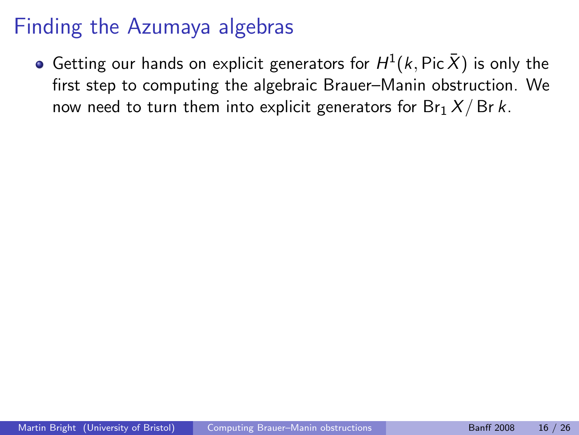<span id="page-42-0"></span>Getting our hands on explicit generators for  $H^1(k,\mathsf{Pic}\,\bar{X})$  is only the first step to computing the algebraic Brauer–Manin obstruction. We now need to turn them into explicit generators for  $Br_1 X/Br k$ .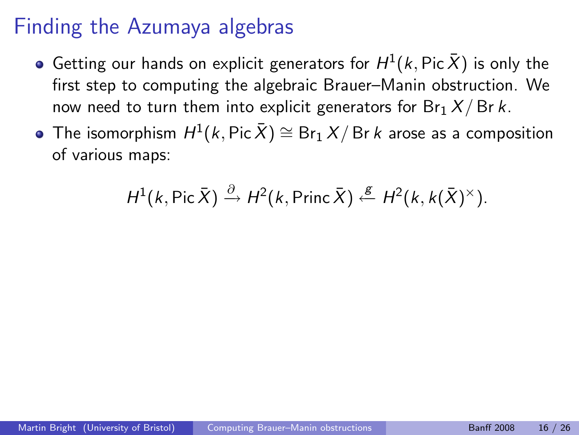- Getting our hands on explicit generators for  $H^1(k,\mathsf{Pic}\,\bar{X})$  is only the first step to computing the algebraic Brauer–Manin obstruction. We now need to turn them into explicit generators for  $Br_1 X/Br k$ .
- The isomorphism  $H^1(k,\mathsf{Pic}\,\bar{X})\cong\mathsf{Br}_1\,X/\,\mathsf{Br}\,k$  arose as a composition of various maps:

$$
H^1(k, \text{Pic }\bar{X}) \xrightarrow{\partial} H^2(k, \text{Princ }\bar{X}) \xleftarrow{\mathcal{g}} H^2(k, k(\bar{X})^{\times}).
$$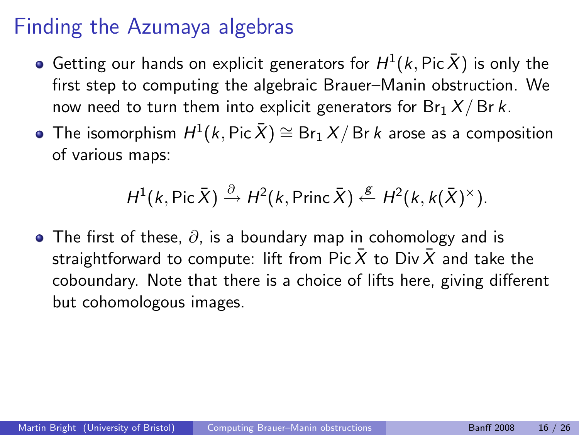- Getting our hands on explicit generators for  $H^1(k,\mathsf{Pic}\,\bar{X})$  is only the first step to computing the algebraic Brauer–Manin obstruction. We now need to turn them into explicit generators for  $Br_1 X/Br k$ .
- The isomorphism  $H^1(k,\mathsf{Pic}\,\bar{X})\cong\mathsf{Br}_1\,X/\,\mathsf{Br}\,k$  arose as a composition of various maps:

$$
H^1(k, \text{Pic }\bar{X}) \xrightarrow{\partial} H^2(k, \text{Princ }\bar{X}) \xleftarrow{\mathcal{E}} H^2(k, k(\bar{X})^{\times}).
$$

• The first of these,  $\partial$ , is a boundary map in cohomology and is straightforward to compute: lift from Pic  $\bar{X}$  to Div  $\bar{X}$  and take the coboundary. Note that there is a choice of lifts here, giving different but cohomologous images.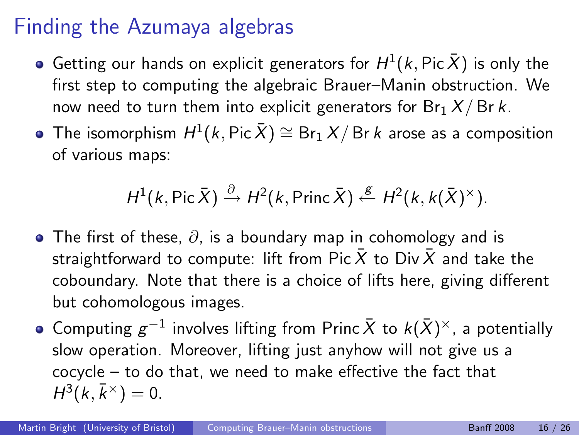- Getting our hands on explicit generators for  $H^1(k,\mathsf{Pic}\,\bar{X})$  is only the first step to computing the algebraic Brauer–Manin obstruction. We now need to turn them into explicit generators for  $Br_1 X/Br k$ .
- The isomorphism  $H^1(k,\mathsf{Pic}\,\bar{X})\cong\mathsf{Br}_1\,X/\,\mathsf{Br}\,k$  arose as a composition of various maps:

$$
H^1(k, \text{Pic }\bar{X}) \xrightarrow{\partial} H^2(k, \text{Princ }\bar{X}) \xleftarrow{\mathcal{E}} H^2(k, k(\bar{X})^{\times}).
$$

- The first of these,  $\partial$ , is a boundary map in cohomology and is straightforward to compute: lift from Pic  $\bar{X}$  to Div  $\bar{X}$  and take the coboundary. Note that there is a choice of lifts here, giving different but cohomologous images.
- Computing  $g^{-1}$  involves lifting from Princ  $\bar{X}$  to  $k(\bar{X})^{\times}$ , a potentially slow operation. Moreover, lifting just anyhow will not give us a cocycle – to do that, we need to make effective the fact that  $H^3(k,\bar{k}^{\times})=0.$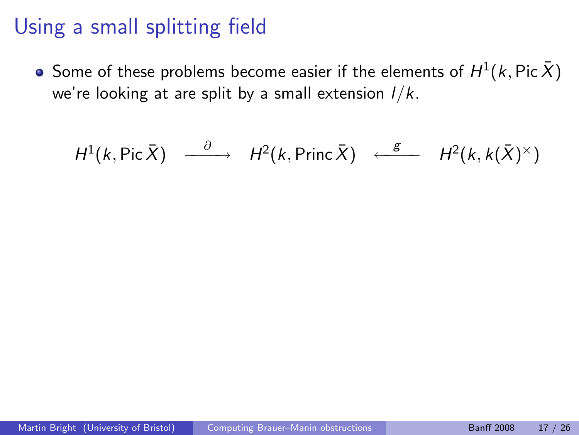Some of these problems become easier if the elements of  $H^1(k,\operatorname{\sf Pic}\bar X)$ we're looking at are split by a small extension  $1/k$ .

$$
H^1(k, \text{Pic }\bar{X}) \xrightarrow{\partial} H^2(k, \text{Princ }\bar{X}) \xleftarrow{\text{g}} H^2(k, k(\bar{X})^{\times})
$$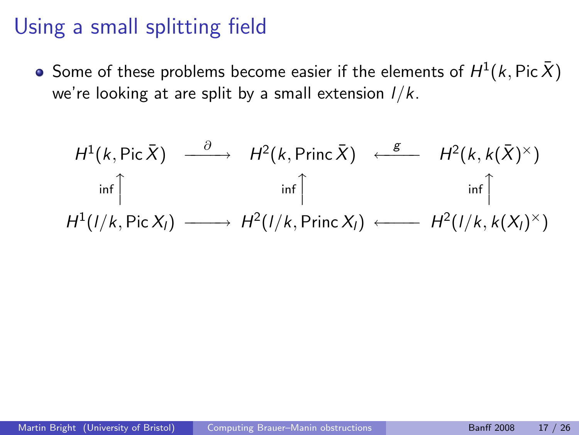Some of these problems become easier if the elements of  $H^1(k,\operatorname{\sf Pic}\bar X)$ we're looking at are split by a small extension  $1/k$ .

$$
H^{1}(k, Pic \bar{X}) \xrightarrow{\partial} H^{2}(k, Princ \bar{X}) \xleftarrow{g} H^{2}(k, k(\bar{X})^{\times})
$$
  
inf $\uparrow$   

$$
H^{1}(l/k, Pic X_{l}) \xrightarrow{\text{inf}} H^{2}(l/k, Princ X_{l}) \xleftarrow{\text{inf}} H^{2}(l/k, k(X_{l})^{\times})
$$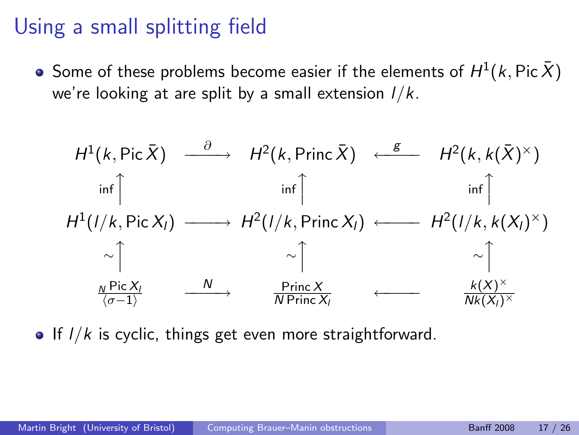Some of these problems become easier if the elements of  $H^1(k,\operatorname{\sf Pic}\bar X)$ we're looking at are split by a small extension  $1/k$ .

$$
H^{1}(k, Pic \bar{X}) \xrightarrow{\partial} H^{2}(k, Princ \bar{X}) \xleftarrow{g} H^{2}(k, k(\bar{X})^{\times})
$$
\n
$$
\inf_{\text{inf} \uparrow} \qquad \inf_{\text{inf} \uparrow} \qquad \inf_{\text{inf} \uparrow} \uparrow \qquad \inf_{\text{inf} \uparrow} \uparrow
$$
\n
$$
H^{1}(1/k, Pic X_{1}) \xrightarrow{\sim} H^{2}(1/k, Princ X_{1}) \xleftarrow{\sim} H^{2}(1/k, k(X_{1})^{\times})
$$
\n
$$
\sim \uparrow \qquad \sim \uparrow \qquad \sim \uparrow \qquad \sim \uparrow
$$
\n
$$
\frac{\frac{N}{\langle \sigma-1 \rangle}}{\frac{Pic X_{1}}{\langle \sigma-1 \rangle}} \xrightarrow{\text{Princ X}} \qquad \longleftarrow \qquad \frac{k(X)^{\times}}{Nk(X_{1})^{\times}}
$$

If  $I/k$  is cyclic, things get even more straightforward.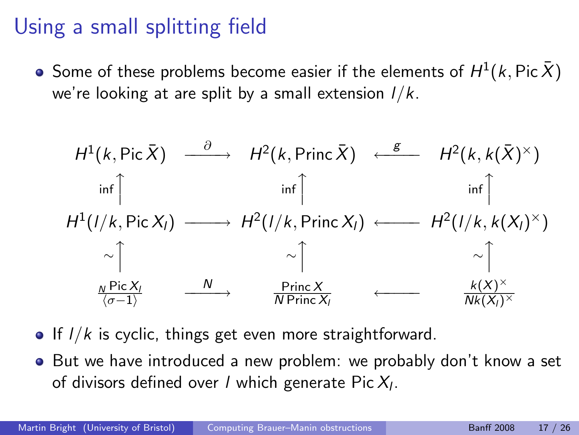Some of these problems become easier if the elements of  $H^1(k,\operatorname{\sf Pic}\bar X)$ we're looking at are split by a small extension  $1/k$ .

$$
H^{1}(k, Pic \bar{X}) \xrightarrow{\partial} H^{2}(k, Princ \bar{X}) \xleftarrow{g} H^{2}(k, k(\bar{X})^{\times})
$$
\n
$$
\inf_{\text{inf} \uparrow} \qquad \inf_{\text{inf} \uparrow} \qquad \inf_{\text{inf} \uparrow} \uparrow \qquad \inf_{\text{inf} \uparrow} \uparrow
$$
\n
$$
H^{1}(1/k, Pic X_{1}) \xrightarrow{\sim} H^{2}(1/k, Princ X_{1}) \xleftarrow{\sim} H^{2}(1/k, k(X_{1})^{\times})
$$
\n
$$
\sim \uparrow \qquad \sim \uparrow \qquad \sim \uparrow \qquad \sim \uparrow
$$
\n
$$
\frac{\frac{N}{\langle \sigma-1 \rangle}}{\frac{Pic X_{1}}{\langle \sigma-1 \rangle}} \xrightarrow{\text{Princ X}} \qquad \longleftarrow \qquad \frac{k(X)^{\times}}{Nk(X_{1})^{\times}}
$$

- If  $I/k$  is cyclic, things get even more straightforward.
- But we have introduced a new problem: we probably don't know a set of divisors defined over / which generate Pic $\mathcal{X}_l.$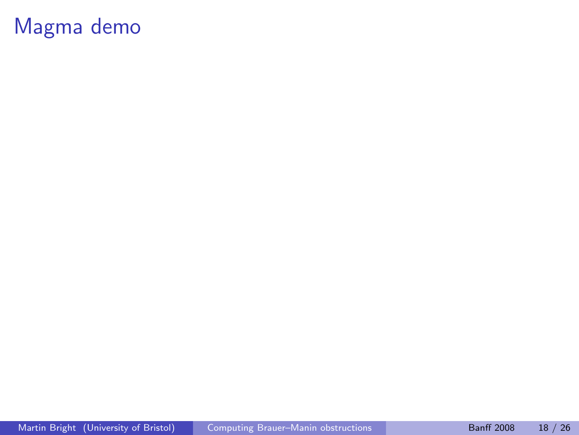# <span id="page-50-0"></span>Magma demo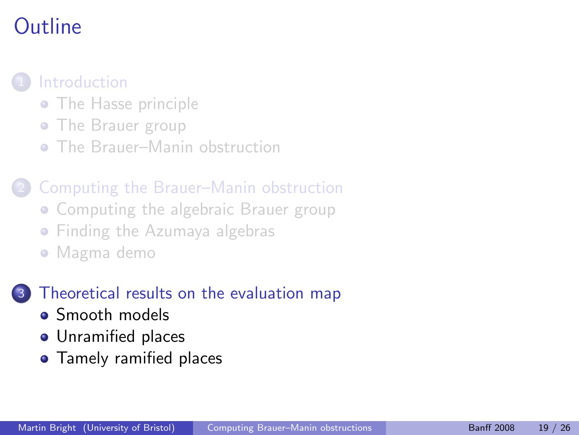# Outline



#### • [The Hasse principle](#page-3-0)

- [The Brauer group](#page-8-0)
- [The Brauer–Manin obstruction](#page-17-0)

#### 2 [Computing the Brauer–Manin obstruction](#page-28-0)

- [Computing the algebraic Brauer group](#page-29-0)
- **[Finding the Azumaya algebras](#page-42-0)**
- [Magma demo](#page-50-0)

#### [Theoretical results on the evaluation map](#page-51-0)

- [Smooth models](#page-54-0)
- **•** [Unramified places](#page-60-0)
- <span id="page-51-0"></span>**•** [Tamely ramified places](#page-64-0)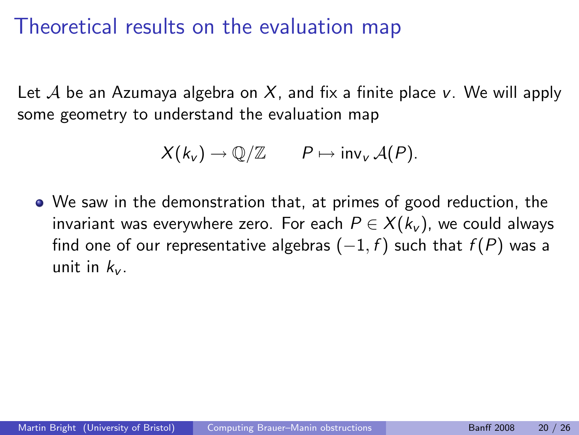### Theoretical results on the evaluation map

Let A be an Azumaya algebra on X, and fix a finite place v. We will apply some geometry to understand the evaluation map

$$
X(k_v) \to \mathbb{Q}/\mathbb{Z} \qquad P \mapsto \text{inv}_v \mathcal{A}(P).
$$

We saw in the demonstration that, at primes of good reduction, the invariant was everywhere zero. For each  $P \in X(k_{\nu})$ , we could always find one of our representative algebras  $(-1, f)$  such that  $f(P)$  was a unit in  $k_{\nu}$ .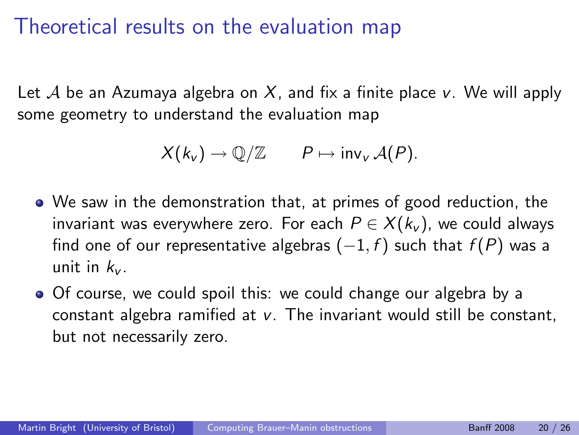### Theoretical results on the evaluation map

Let A be an Azumaya algebra on X, and fix a finite place v. We will apply some geometry to understand the evaluation map

$$
X(k_v) \to \mathbb{Q}/\mathbb{Z} \qquad P \mapsto \text{inv}_v \mathcal{A}(P).
$$

- We saw in the demonstration that, at primes of good reduction, the invariant was everywhere zero. For each  $P \in X(k_{\nu})$ , we could always find one of our representative algebras  $(-1, f)$  such that  $f(P)$  was a unit in  $k_{\nu}$ .
- Of course, we could spoil this: we could change our algebra by a constant algebra ramified at v. The invariant would still be constant, but not necessarily zero.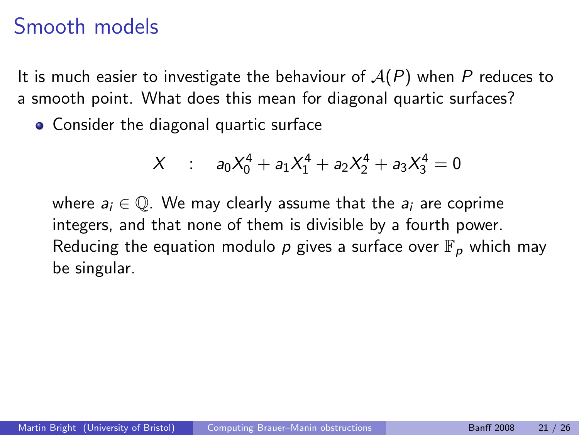It is much easier to investigate the behaviour of  $A(P)$  when P reduces to a smooth point. What does this mean for diagonal quartic surfaces?

Consider the diagonal quartic surface

<span id="page-54-0"></span>
$$
X : a_0 X_0^4 + a_1 X_1^4 + a_2 X_2^4 + a_3 X_3^4 = 0
$$

where  $a_i \in \mathbb{Q}$ . We may clearly assume that the  $a_i$  are coprime integers, and that none of them is divisible by a fourth power. Reducing the equation modulo p gives a surface over  $\mathbb{F}_p$  which may be singular.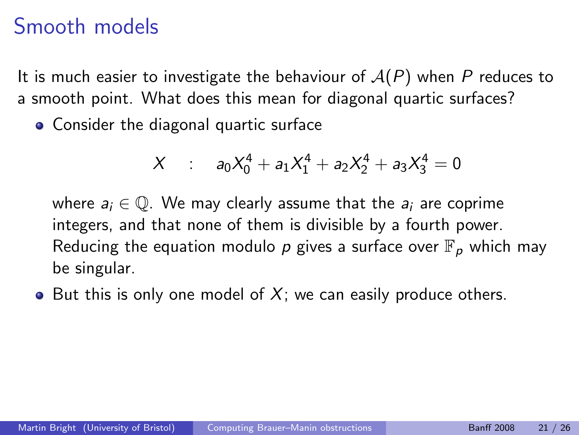It is much easier to investigate the behaviour of  $A(P)$  when P reduces to a smooth point. What does this mean for diagonal quartic surfaces?

Consider the diagonal quartic surface

$$
X : a_0 X_0^4 + a_1 X_1^4 + a_2 X_2^4 + a_3 X_3^4 = 0
$$

where  $a_i \in \mathbb{Q}$ . We may clearly assume that the  $a_i$  are coprime integers, and that none of them is divisible by a fourth power. Reducing the equation modulo p gives a surface over  $\mathbb{F}_p$  which may be singular.

 $\bullet$  But this is only one model of X; we can easily produce others.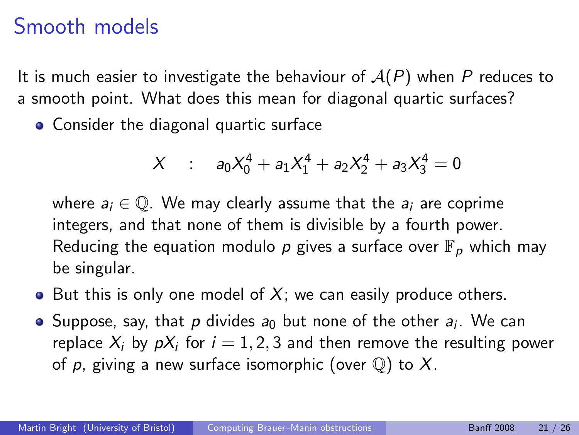It is much easier to investigate the behaviour of  $A(P)$  when P reduces to a smooth point. What does this mean for diagonal quartic surfaces?

• Consider the diagonal quartic surface

$$
X : a_0 X_0^4 + a_1 X_1^4 + a_2 X_2^4 + a_3 X_3^4 = 0
$$

where  $a_i \in \mathbb{Q}$ . We may clearly assume that the  $a_i$  are coprime integers, and that none of them is divisible by a fourth power. Reducing the equation modulo p gives a surface over  $\mathbb{F}_p$  which may be singular.

- $\bullet$  But this is only one model of X; we can easily produce others.
- Suppose, say, that  $p$  divides  $a_0$  but none of the other  $a_i$ . We can replace  $X_i$  by  $pX_i$  for  $i=1,2,3$  and then remove the resulting power of p, giving a new surface isomorphic (over  $\mathbb Q$ ) to X.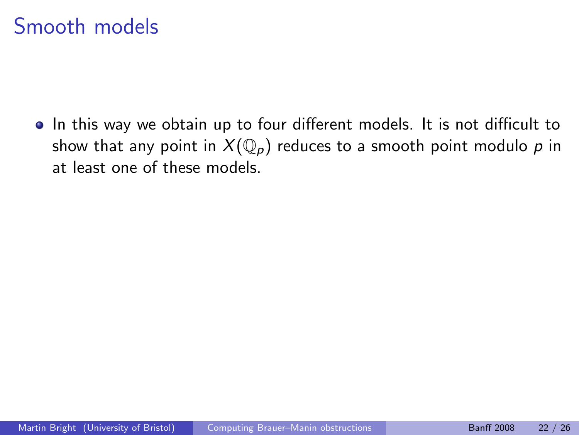In this way we obtain up to four different models. It is not difficult to show that any point in  $X(\mathbb{Q}_p)$  reduces to a smooth point modulo p in at least one of these models.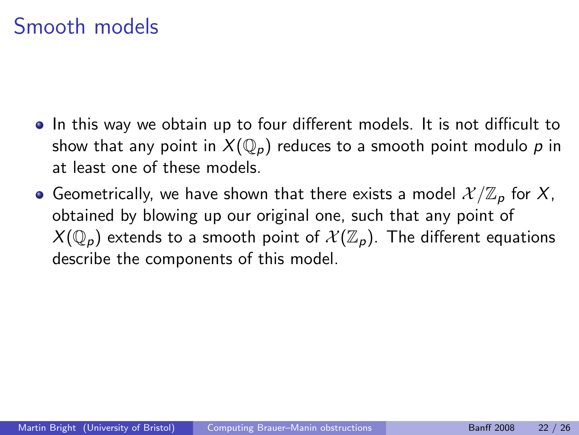- In this way we obtain up to four different models. It is not difficult to show that any point in  $X(\mathbb{Q}_p)$  reduces to a smooth point modulo p in at least one of these models.
- Geometrically, we have shown that there exists a model  $\mathcal{X}/\mathbb{Z}_p$  for X, obtained by blowing up our original one, such that any point of  $X(\mathbb{Q}_p)$  extends to a smooth point of  $\mathcal{X}(\mathbb{Z}_p)$ . The different equations describe the components of this model.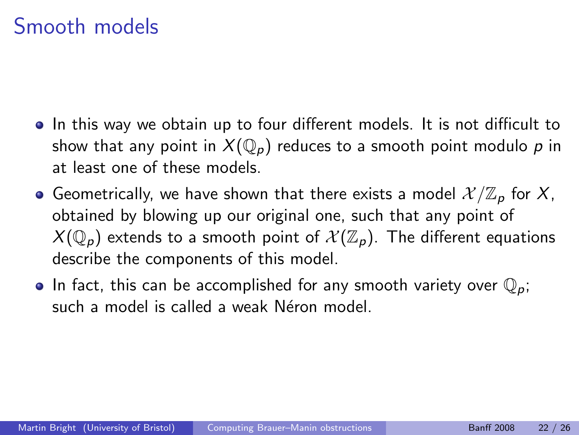- In this way we obtain up to four different models. It is not difficult to show that any point in  $X(\mathbb{Q}_p)$  reduces to a smooth point modulo p in at least one of these models.
- Geometrically, we have shown that there exists a model  $\mathcal{X}/\mathbb{Z}_p$  for X, obtained by blowing up our original one, such that any point of  $X(\mathbb{Q}_p)$  extends to a smooth point of  $\mathcal{X}(\mathbb{Z}_p)$ . The different equations describe the components of this model.
- In fact, this can be accomplished for any smooth variety over  $\mathbb{Q}_p$ ; such a model is called a weak Néron model.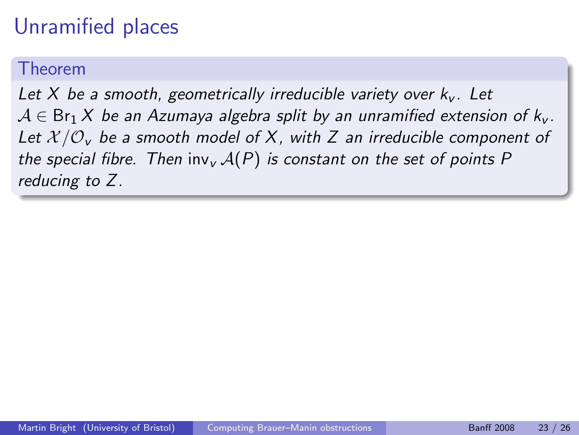#### Theorem

<span id="page-60-0"></span>Let X be a smooth, geometrically irreducible variety over  $k_y$ . Let  $A \in Br_1 X$  be an Azumaya algebra split by an unramified extension of  $k_v$ . Let  $X/O_v$  be a smooth model of X, with Z an irreducible component of the special fibre. Then inv<sub>v</sub>  $A(P)$  is constant on the set of points P reducing to Z.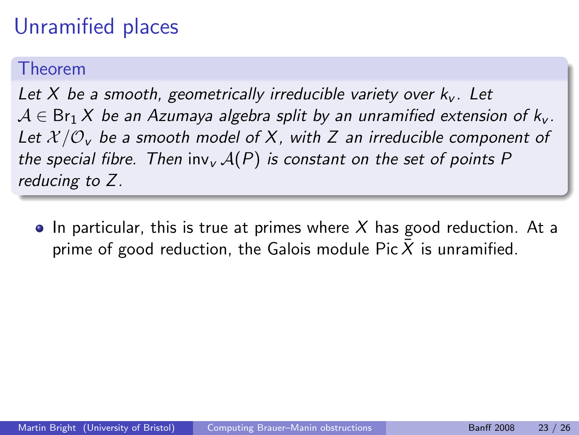#### Theorem

Let X be a smooth, geometrically irreducible variety over  $k_y$ . Let  $A \in Br_1 X$  be an Azumaya algebra split by an unramified extension of  $k_v$ . Let  $X/O_v$  be a smooth model of X, with Z an irreducible component of the special fibre. Then inv<sub>v</sub>  $A(P)$  is constant on the set of points P reducing to Z.

 $\bullet$  In particular, this is true at primes where X has good reduction. At a prime of good reduction, the Galois module Pic  $\overline{X}$  is unramified.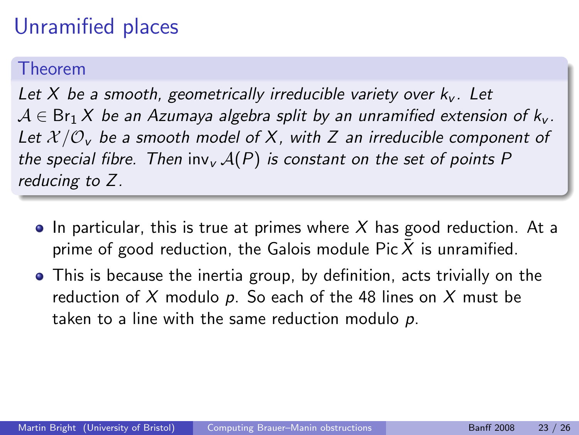#### Theorem

Let X be a smooth, geometrically irreducible variety over  $k_y$ . Let  $A \in Br_1 X$  be an Azumaya algebra split by an unramified extension of  $k_v$ . Let  $X/O_v$  be a smooth model of X, with Z an irreducible component of the special fibre. Then inv<sub>v</sub>  $A(P)$  is constant on the set of points P reducing to Z.

- $\bullet$  In particular, this is true at primes where X has good reduction. At a prime of good reduction, the Galois module Pic  $\overline{X}$  is unramified.
- This is because the inertia group, by definition, acts trivially on the reduction of X modulo p. So each of the 48 lines on X must be taken to a line with the same reduction modulo  $p$ .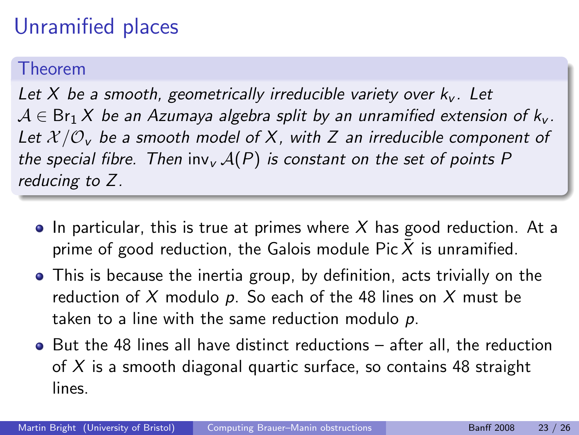#### Theorem

Let X be a smooth, geometrically irreducible variety over  $k_y$ . Let  $A \in Br_1 X$  be an Azumaya algebra split by an unramified extension of  $k_v$ . Let  $X/O_v$  be a smooth model of X, with Z an irreducible component of the special fibre. Then inv<sub>v</sub>  $A(P)$  is constant on the set of points P reducing to Z.

- $\bullet$  In particular, this is true at primes where X has good reduction. At a prime of good reduction, the Galois module Pic  $\bar{X}$  is unramified.
- This is because the inertia group, by definition, acts trivially on the reduction of X modulo p. So each of the 48 lines on X must be taken to a line with the same reduction modulo  $p$ .
- $\bullet$  But the 48 lines all have distinct reductions after all, the reduction of X is a smooth diagonal quartic surface, so contains 48 straight lines.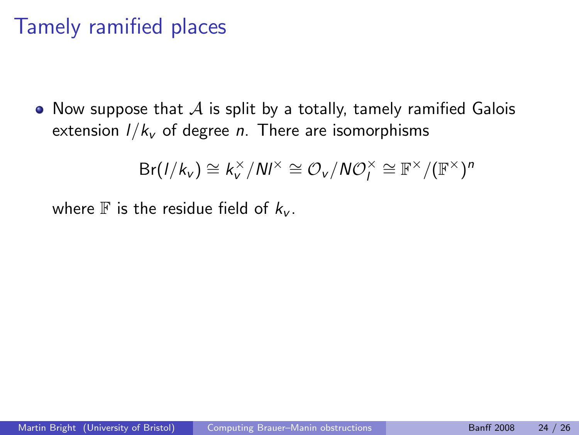• Now suppose that  $\mathcal A$  is split by a totally, tamely ramified Galois extension  $1/k_v$  of degree *n*. There are isomorphisms

<span id="page-64-0"></span>
$$
Br(I/k_v) \cong k_v^{\times}/N I^{\times} \cong \mathcal{O}_v/NO_I^{\times} \cong \mathbb{F}^{\times}/(\mathbb{F}^{\times})^n
$$

where  $\mathbb F$  is the residue field of  $k_{\nu}$ .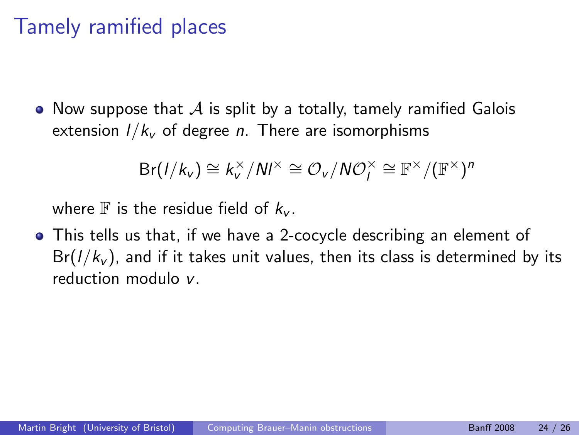• Now suppose that  $\mathcal A$  is split by a totally, tamely ramified Galois extension  $1/k_v$  of degree *n*. There are isomorphisms

$$
\mathsf{Br}(1/k_v) \cong k_v^{\times}/Nl^{\times} \cong \mathcal{O}_v/N\mathcal{O}_l^{\times} \cong \mathbb{F}^{\times}/(\mathbb{F}^{\times})^n
$$

where  $\mathbb F$  is the residue field of  $k_{\nu}$ .

This tells us that, if we have a 2-cocycle describing an element of  $Br(I/k_v)$ , and if it takes unit values, then its class is determined by its reduction modulo v.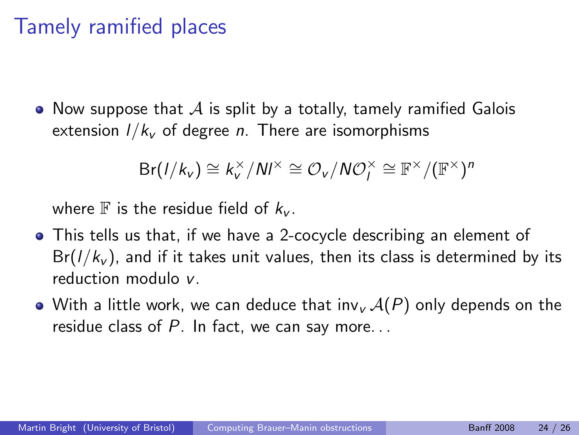• Now suppose that  $\mathcal A$  is split by a totally, tamely ramified Galois extension  $1/k_v$  of degree *n*. There are isomorphisms

$$
\mathsf{Br}(1/k_v) \cong k_v^{\times}/N l^{\times} \cong \mathcal{O}_v/N \mathcal{O}_l^{\times} \cong \mathbb{F}^{\times}/(\mathbb{F}^{\times})^n
$$

where  $\mathbb F$  is the residue field of  $k_{\nu}$ .

- This tells us that, if we have a 2-cocycle describing an element of  $Br(1/k_v)$ , and if it takes unit values, then its class is determined by its reduction modulo v.
- With a little work, we can deduce that  $inv_{\nu} A(P)$  only depends on the residue class of  $P$ . In fact, we can say more...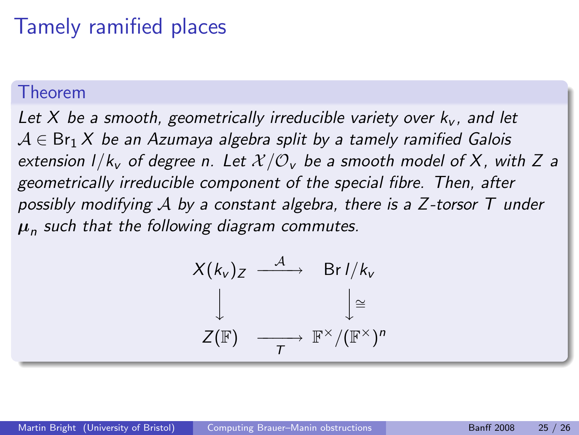#### Theorem

Let X be a smooth, geometrically irreducible variety over  $k_v$ , and let  $A \in Br_1 X$  be an Azumaya algebra split by a tamely ramified Galois extension  $1/k_v$  of degree n. Let  $\mathcal{X}/\mathcal{O}_v$  be a smooth model of X, with Z a geometrically irreducible component of the special fibre. Then, after possibly modifying  $A$  by a constant algebra, there is a Z-torsor  $T$  under  $\boldsymbol{\mu}_n$  such that the following diagram commutes.

$$
X(k_v)_Z \xrightarrow{\mathcal{A}} \text{Br } l/k_v
$$
  

$$
\downarrow \qquad \qquad \downarrow \cong
$$
  

$$
Z(\mathbb{F}) \xrightarrow{\mathbb{T}} \mathbb{F}^{\times}/(\mathbb{F}^{\times})^n
$$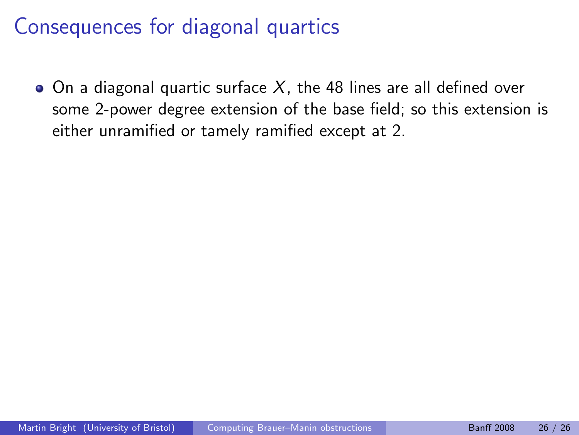$\bullet$  On a diagonal quartic surface X, the 48 lines are all defined over some 2-power degree extension of the base field; so this extension is either unramified or tamely ramified except at 2.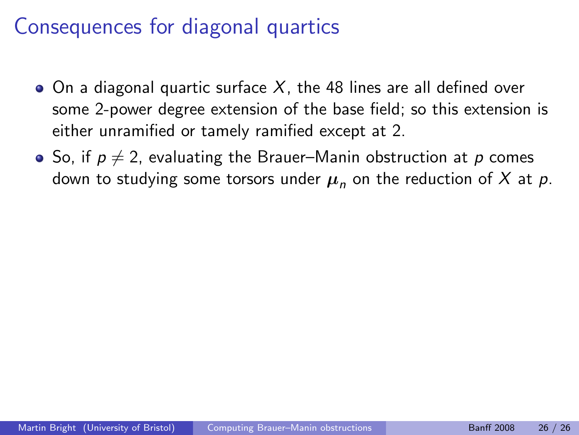- $\bullet$  On a diagonal quartic surface X, the 48 lines are all defined over some 2-power degree extension of the base field; so this extension is either unramified or tamely ramified except at 2.
- So, if  $p \neq 2$ , evaluating the Brauer–Manin obstruction at p comes down to studying some torsors under  $\mu_n$  on the reduction of X at p.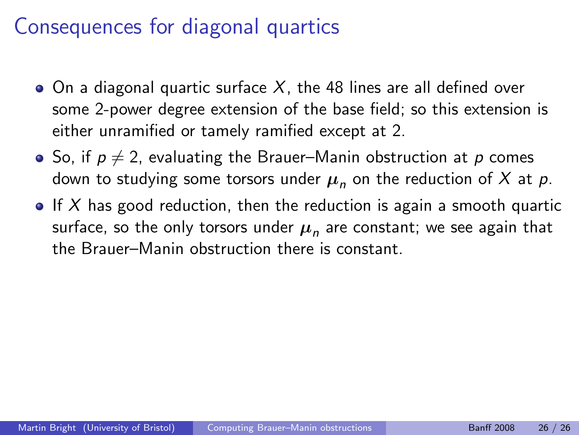- $\bullet$  On a diagonal quartic surface X, the 48 lines are all defined over some 2-power degree extension of the base field; so this extension is either unramified or tamely ramified except at 2.
- So, if  $p \neq 2$ , evaluating the Brauer–Manin obstruction at p comes down to studying some torsors under  $\mu_n$  on the reduction of X at p.
- If X has good reduction, then the reduction is again a smooth quartic surface, so the only torsors under  $\boldsymbol{\mu}_n$  are constant; we see again that the Brauer–Manin obstruction there is constant.